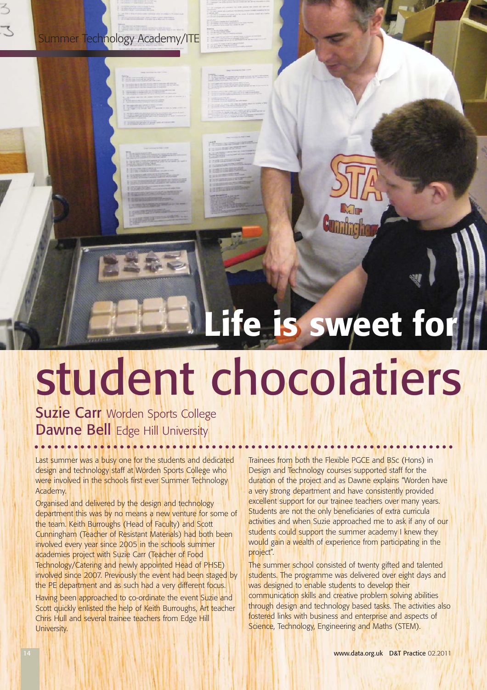# Summer Technology Academy/ITE

**CONTRACTOR** 

# **Life is sweet for**

# student chocolatiers

## Suzie Carr Worden Sports College Dawne Bell Edge Hill University

Last summer was a busy one for the students and dedicated design and technology staff at Worden Sports College who were involved in the schools first ever Summer Technology Academy.

Organised and delivered by the design and technology department this was by no means a new venture for some of the team. Keith Burroughs (Head of Faculty) and Scott Cunningham (Teacher of Resistant Materials) had both been involved every year since 2005 in the schools summer academies project with Suzie Carr (Teacher of Food Technology/Catering and newly appointed Head of PHSE) involved since 2007. Previously the event had been staged by the PE department and as such had a very different focus.

Having been approached to co-ordinate the event Suzie and Scott quickly enlisted the help of Keith Burroughs, Art teacher Chris Hull and several trainee teachers from Edge Hill University.

Trainees from both the Flexible PGCE and BSc (Hons) in Design and Technology courses supported staff for the duration of the project and as Dawne explains "Worden have a very strong department and have consistently provided excellent support for our trainee teachers over many years. Students are not the only beneficiaries of extra curricula activities and when Suzie approached me to ask if any of our students could support the summer academy I knew they would gain a wealth of experience from participating in the project".

The summer school consisted of twenty gifted and talented students. The programme was delivered over eight days and was designed to enable students to develop their communication skills and creative problem solving abilities through design and technology based tasks. The activities also fostered links with business and enterprise and aspects of Science, Technology, Engineering and Maths (STEM).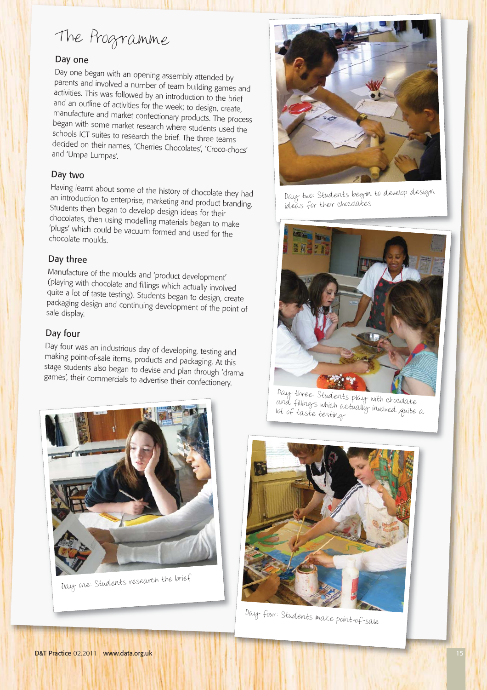# The Programme

#### Day one

Day one began with an opening assembly attended by parents and involved a number of team building games and activities. This was followed by an introduction to the brief and an outline of activities for the week; to design, create, manufacture and market confectionary products. The process began with some market research where students used the schools ICT suites to research the brief. The three teams decided on their names, 'Cherries Chocolates', 'Croco-chocs' and 'Umpa Lumpas'.

#### Day two

Having learnt about some of the history of chocolate they had an introduction to enterprise, marketing and product branding. Students then began to develop design ideas for their chocolates, then using modelling materials began to make 'plugs' which could be vacuum formed and used for the chocolate moulds.

#### Day three

Manufacture of the moulds and 'product development' (playing with chocolate and fillings which actually involved quite a lot of taste testing). Students began to design, create packaging design and continuing development of the point of sale display.

#### Day four

Day four was an industrious day of developing, testing and making point-of-sale items, products and packaging. At this stage students also began to devise and plan through 'drama games', their commercials to advertise their confectionery.





Day two: Students begin to develop design ideas for their chocolates



Day three: Students play with chocolate and fillings which actually involved quite a lot of taste testing



Day four: Students make point-of-sale